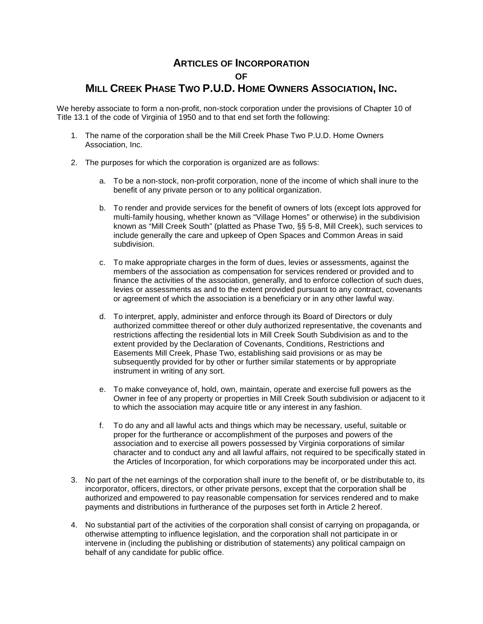## **ARTICLES OF INCORPORATION OF MILL CREEK PHASE TWO P.U.D. HOME OWNERS ASSOCIATION, INC.**

We hereby associate to form a non-profit, non-stock corporation under the provisions of Chapter 10 of Title 13.1 of the code of Virginia of 1950 and to that end set forth the following:

- 1. The name of the corporation shall be the Mill Creek Phase Two P.U.D. Home Owners Association, Inc.
- 2. The purposes for which the corporation is organized are as follows:
	- a. To be a non-stock, non-profit corporation, none of the income of which shall inure to the benefit of any private person or to any political organization.
	- b. To render and provide services for the benefit of owners of lots (except lots approved for multi-family housing, whether known as "Village Homes" or otherwise) in the subdivision known as "Mill Creek South" (platted as Phase Two, §§ 5-8, Mill Creek), such services to include generally the care and upkeep of Open Spaces and Common Areas in said subdivision.
	- c. To make appropriate charges in the form of dues, levies or assessments, against the members of the association as compensation for services rendered or provided and to finance the activities of the association, generally, and to enforce collection of such dues, levies or assessments as and to the extent provided pursuant to any contract, covenants or agreement of which the association is a beneficiary or in any other lawful way.
	- d. To interpret, apply, administer and enforce through its Board of Directors or duly authorized committee thereof or other duly authorized representative, the covenants and restrictions affecting the residential lots in Mill Creek South Subdivision as and to the extent provided by the Declaration of Covenants, Conditions, Restrictions and Easements Mill Creek, Phase Two, establishing said provisions or as may be subsequently provided for by other or further similar statements or by appropriate instrument in writing of any sort.
	- e. To make conveyance of, hold, own, maintain, operate and exercise full powers as the Owner in fee of any property or properties in Mill Creek South subdivision or adjacent to it to which the association may acquire title or any interest in any fashion.
	- f. To do any and all lawful acts and things which may be necessary, useful, suitable or proper for the furtherance or accomplishment of the purposes and powers of the association and to exercise all powers possessed by Virginia corporations of similar character and to conduct any and all lawful affairs, not required to be specifically stated in the Articles of Incorporation, for which corporations may be incorporated under this act.
- 3. No part of the net earnings of the corporation shall inure to the benefit of, or be distributable to, its incorporator, officers, directors, or other private persons, except that the corporation shall be authorized and empowered to pay reasonable compensation for services rendered and to make payments and distributions in furtherance of the purposes set forth in Article 2 hereof.
- 4. No substantial part of the activities of the corporation shall consist of carrying on propaganda, or otherwise attempting to influence legislation, and the corporation shall not participate in or intervene in (including the publishing or distribution of statements) any political campaign on behalf of any candidate for public office.